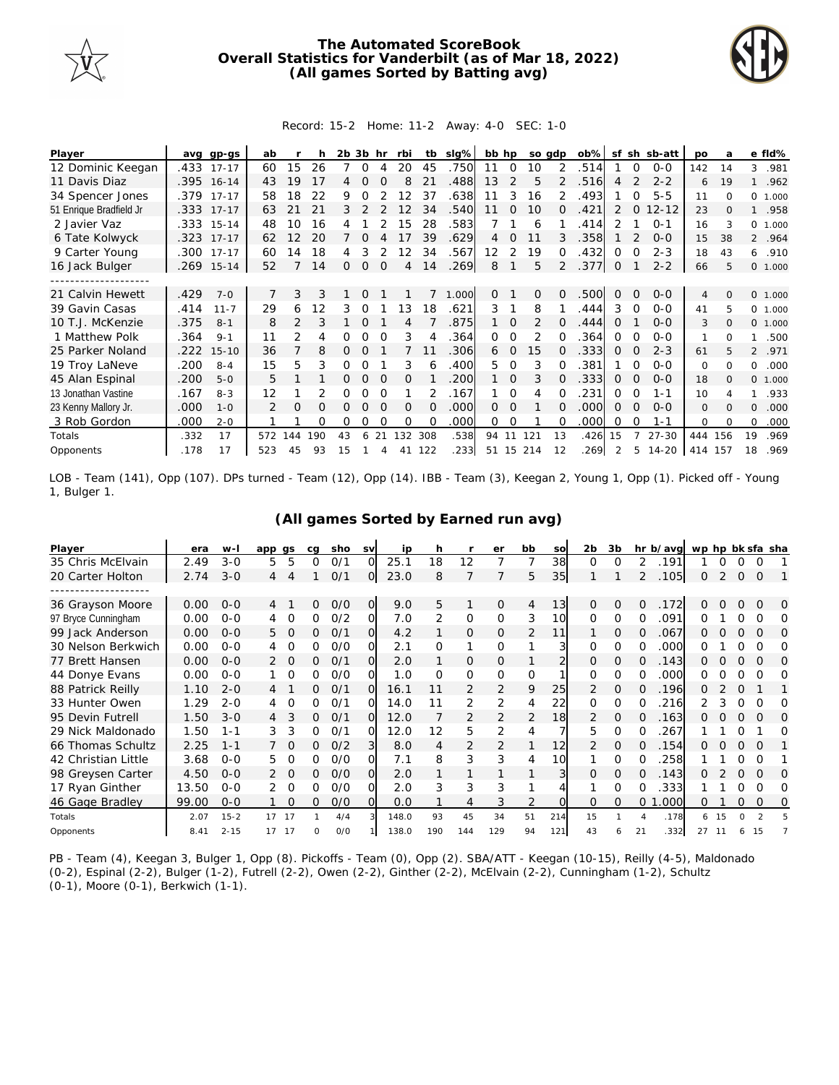

## **The Automated ScoreBook Overall Statistics for Vanderbilt (as of Mar 18, 2022) (All games Sorted by Batting avg)**



## Record: 15-2 Home: 11-2 Away: 4-0 SEC: 1-0

| Player                  |      | avg gp-gs  | ab  |               |     | 2b 3b hr |          |          | rbi               | tb             | slg%  |          | bb hp          |                | so gdp        | $ob\%$ |          |          | sf sh sb-att | po             | a        |          | e fld%  |
|-------------------------|------|------------|-----|---------------|-----|----------|----------|----------|-------------------|----------------|-------|----------|----------------|----------------|---------------|--------|----------|----------|--------------|----------------|----------|----------|---------|
| 12 Dominic Keegan       |      | .433 17-17 | 60  | 15            | 26  |          | O        |          | 20                | 45             | .750  | 11       | 0              | 10             | 2             | 514    |          | $\Omega$ | $0 - 0$      | 142            | 14       | 3        | .981    |
| 11 Davis Diaz           |      | .395 16-14 | 43  | 19            | 17  | 4        | $\Omega$ |          | 8                 | 2 <sup>1</sup> | .488  | 13       | $\overline{2}$ | 5              | $\mathcal{P}$ | 516    | 4        |          | $2 - 2$      | 6              | 19       |          | .962    |
| 34 Spencer Jones        |      | .379 17-17 | 58  | 18            | 22  | 9        | Ω        |          | $12 \overline{ }$ | 37             | 638   | 11       | 3              | 16             | 2             | .493   |          |          | $5 - 5$      | 11             | $\Omega$ | 0        | 1.000   |
| 51 Enrique Bradfield Jr | .333 | $17 - 17$  | 63  | 21            | 21  | 3        |          |          | 12                | 34             | .540  | 11       | $\Omega$       | 10             | O             | .421   | 2        | $\Omega$ | $12 - 12$    | 23             |          |          | .958    |
| 2 Javier Vaz            |      | .333 15-14 | 48  | 10            | 16  |          |          |          | 15                | 28             | .583  |          |                | 6              |               | 414    |          |          | $O - 1$      | 16             |          |          | 0 1.000 |
| 6 Tate Kolwyck          | .323 | $17 - 17$  | 62  | 12            | 20  |          | Ω        |          | 17                | 39             | .629  | 4        | Ω              |                | 3             | .358   |          |          | $0 - 0$      | 15             | 38       |          | 2 .964  |
| 9 Carter Young          | .300 | $17 - 17$  | 60  | 14            | 18  | 4        | 3        |          | 12                | 34             | .567  | 12       | 2              | 19             |               | .432   | 0        | O        | $2 - 3$      | 18             | 43       | 6        | .910    |
| 16 Jack Bulger          |      | .269 15-14 | 52  |               | 14  | 0        | 0        | $\Omega$ | 4                 | 14             | .269  | 8        |                | 5              | 2             | .377   | 0        |          | $2 - 2$      | 66             | 5        |          | 0 1.000 |
|                         |      |            |     |               |     |          |          |          |                   |                |       |          |                |                |               |        |          |          |              |                |          |          |         |
| 21 Calvin Hewett        | .429 | $7 - 0$    |     | 3             | 3   |          | 0        |          |                   |                | 1.000 | 0        |                | 0              | 0             | .500   | 0        | $\Omega$ | $0 - 0$      | $\overline{4}$ | $\Omega$ |          | 0 1.000 |
| 39 Gavin Casas          | .414 | $11 - 7$   | 29  | 6             | 12  |          | Ω        |          | 13                | 18             | .621  | 3        |                | 8              |               | .444   | 3        | $\Omega$ | $O-O$        | 41             |          |          | 0 1.000 |
| 10 T.J. McKenzie        | .375 | $8 - 1$    | 8   | $\mathcal{P}$ | 3   |          | $\Omega$ |          | 4                 |                | 875   | 1        | $\Omega$       | $\overline{2}$ | 0             | .444   | $\Omega$ |          | $0 - 0$      | 3              | $\Omega$ |          | 0 1.000 |
| 1 Matthew Polk          | .364 | $9 - 1$    | 11  | 2             | 4   | 0        | Ω        | $\Omega$ | 3                 |                | .364  | 0        | $\Omega$       | 2              |               | 364    | 0        | $\Omega$ | $0 - 0$      | 1              | $\Omega$ | 1        | .500    |
| 25 Parker Noland        | .222 | $15 - 10$  | 36  |               | 8   | 0        | Ω        |          |                   |                | .306  | 6        | $\Omega$       | 15             |               | .333   | $\Omega$ | $\Omega$ | $2 - 3$      | 61             |          |          | 2 .971  |
| 19 Troy LaNeve          | .200 | $8 - 4$    | 15  | 5             | 3   | Ω        | Ω        |          | 3                 | 6              | .400  | 5.       | $\Omega$       | 3              |               | .381   |          |          | $0 - 0$      | $\Omega$       | $\Omega$ | 0        | .000    |
| 45 Alan Espinal         | .200 | $5 - 0$    | 5   |               |     | 0        | $\Omega$ | $\Omega$ | $\Omega$          |                | 200   |          | $\Omega$       | 3              |               | 333    | $\Omega$ | $\Omega$ | $0 - 0$      | 18             | $\Omega$ |          | 0 1.000 |
| 13 Jonathan Vastine     | .167 | $8 - 3$    | 12  |               |     | Ω        | Ω        |          |                   |                | .167  |          | $\Omega$       |                |               | 231    | 0        | $\Omega$ | $1 - 1$      | 10             |          |          | .933    |
| 23 Kenny Mallory Jr.    | .000 | $1 - 0$    | 2   | O             | 0   | 0        | O        | $\Omega$ | $\Omega$          | $\Omega$       | .000  | $\Omega$ | $\Omega$       |                | 0             | .000   | $\Omega$ | $\Omega$ | $0 - 0$      | $\Omega$       | $\Omega$ | $\Omega$ | .000    |
| 3 Rob Gordon            | .000 | $2 - 0$    |     |               | Ω   | Ω        | Ω        |          | O                 |                | 000   | 0        | O              |                |               | .000   | $\Omega$ |          | $1 - 1$      | 0              | $\Omega$ | 0        | .000    |
| Totals                  | .332 | 17         | 572 | 144           | 190 | 43       | 6        | 21       | 132               | 308            | .538  | 94       | 11             | 121            | 13            | .426   | 15       |          | $27 - 30$    | 444            | 156      | 19       | .969    |
| Opponents               | .178 | 17         | 523 | 45            | 93  | 15       |          |          | 41                | 122            | 233   |          |                | 51 15 214      | 12            | .269   |          |          | 5 14-20      | 414 157        |          | 18       | .969    |

LOB - Team (141), Opp (107). DPs turned - Team (12), Opp (14). IBB - Team (3), Keegan 2, Young 1, Opp (1). Picked off - Young 1, Bulger 1.

| Player              | era   | $W -$    | app            | as       | cq | sho | <b>SV</b> | ip    | h   |                | er             | bb       | SO             | 2b            | 3b       |                | hr b/avg | wp hp bk sfa sha |    |          |          |           |
|---------------------|-------|----------|----------------|----------|----|-----|-----------|-------|-----|----------------|----------------|----------|----------------|---------------|----------|----------------|----------|------------------|----|----------|----------|-----------|
| 35 Chris McElvain   | 2.49  | $3 - 0$  | 5              | 5        | 0  | O/1 | $\Omega$  | 25.1  | 18  | 12             |                |          | 38             | $\Omega$      | O        | 2              | .191     |                  | Ω  |          | 0        |           |
| 20 Carter Holton    | 2.74  | $3 - 0$  | 4              | 4        |    | 0/1 | O         | 23.0  | 8   | 7              |                | 5        | 35             |               |          | $\overline{2}$ | .105     | 0                |    | $\Omega$ | $\Omega$ |           |
|                     |       |          |                |          |    |     |           |       |     |                |                |          |                |               |          |                |          |                  |    |          |          |           |
| 36 Grayson Moore    | 0.00  | $O-O$    | 4              |          | 0  | O/O | $\Omega$  | 9.0   | 5   |                | $\Omega$       | 4        | 13             | $\Omega$      | $\Omega$ | Ω              | 172      | Ω                |    |          | $\Omega$ | O         |
| 97 Bryce Cunningham | 0.00  | $0 - 0$  |                | 0        | 0  | 0/2 | O         | 7.0   | 2   | $\mathbf{O}$   | $\mathbf 0$    | 3        | 10             | $\Omega$      | 0        | 0              | .091     | 0                |    |          | $\Omega$ | 0         |
| 99 Jack Anderson    | 0.00  | $O-O$    | 5.             | $\circ$  | 0  | 0/1 | O         | 4.2   |     | $\overline{O}$ | 0              | 2        | 11             |               | 0        | O              | 067      | Ω                |    | 0        | $\Omega$ | O         |
| 30 Nelson Berkwich  | 0.00  | $O-O$    |                | 0        | 0  | 0/0 | ΩI        | 2.1   | 0   |                | 0              |          | 3              | 0             | 0        | Ω              | .000     | Ω                |    | Ω        | ∩        | $\Omega$  |
| 77 Brett Hansen     | 0.00  | $O - O$  |                | $\circ$  | 0  | 0/1 | O.        | 2.0   |     | 0              | 0              |          |                | 0             | 0        | 0              | .143     | O                |    | Ω        | $\Omega$ | $\Omega$  |
| 44 Donye Evans      | 0.00  | $0 - 0$  |                | $\Omega$ | 0  | O/O | O         | 1.0   | O   | $\Omega$       | $\Omega$       | $\Omega$ |                | Ω             | $\Omega$ | 0              | .000     | 0                |    | Ω        | ∩        | O         |
| 88 Patrick Reilly   | 1.10  | $2 - 0$  | 4              |          | 0  | 0/1 | O         | 16.1  |     | $\overline{2}$ | 2              | 9        | 25             | $\mathcal{P}$ | $\Omega$ | O              | 196      | Ω                |    | ∩        |          |           |
| 33 Hunter Owen      | 1.29  | $2 - 0$  |                | $\Omega$ | 0  | 0/1 | $\Omega$  | 14.0  |     | 2              | 2              | 4        | 22             | 0             | 0        | 0              | .216     |                  | 3  | Ω        | ∩        | O         |
| 95 Devin Futrell    | 1.50  | $3 - 0$  | $\overline{4}$ | 3        | 0  | O/1 | O.        | 12.0  |     | $\overline{2}$ | 2              | 2        | 18             | 2             | $\Omega$ | Ω              | .163     |                  |    | 0        | $\Omega$ | $\bigcap$ |
| 29 Nick Maldonado   | 1.50  | $1 - 1$  | 3              | 3        | 0  | 0/1 | 0         | 12.0  | 12  | 5              | $\overline{2}$ | 4        |                | 5.            | $\Omega$ | 0              | 267      |                  |    |          |          | Ω         |
| 66 Thomas Schultz   | 2.25  | $1 - 1$  |                | $\Omega$ | 0  | O/2 | 3         | 8.0   | 4   | $\overline{2}$ | 2              |          | 12             | $\mathcal{P}$ | $\Omega$ | O              | 154      |                  |    | ∩        | $\Omega$ |           |
| 42 Christian Little | 3.68  | $0 - 0$  | 5.             | 0        | 0  | O/O | ΩI        | 7.1   | 8   | 3              | 3              | 4        | 10             |               | O        | 0              | 258      |                  |    | Ω        | O        |           |
| 98 Greysen Carter   | 4.50  | $O - O$  |                | $\Omega$ | 0  | O/O | O         | 2.0   |     |                |                |          | $\overline{3}$ | Ω             | $\Omega$ |                | .143     |                  |    | ∩        | $\Omega$ |           |
| 17 Ryan Ginther     | 13.50 | $0 - 0$  | 2              | $\Omega$ | 0  | O/O | O         | 2.0   | 3   | 3              | 3              |          |                |               | $\Omega$ | O              | 333      |                  |    |          | ∩        |           |
| 46 Gage Bradley     | 99.00 | $0 - 0$  |                | $\Omega$ | 0  | O/O | O         | 0.0   |     | 4              | 3              | 2        |                | Ω             | $\Omega$ | 0              | .000     | 0                |    |          | $\Omega$ | O         |
| Totals              | 2.07  | $15 - 2$ | 17             | - 17     |    | 4/4 |           | 148.0 | 93  | 45             | 34             | 51       | 214            | 15            |          | 4              | .178     | 6.               | 15 | 0        |          |           |
| Opponents           | 8.41  | $2 - 15$ | 17             | 17       | O  | O/O |           | 138.0 | 190 | 144            | 129            | 94       | 121            | 43            |          | 21             | .332     | 27               |    | 6        |          |           |

## **(All games Sorted by Earned run avg)**

PB - Team (4), Keegan 3, Bulger 1, Opp (8). Pickoffs - Team (0), Opp (2). SBA/ATT - Keegan (10-15), Reilly (4-5), Maldonado (0-2), Espinal (2-2), Bulger (1-2), Futrell (2-2), Owen (2-2), Ginther (2-2), McElvain (2-2), Cunningham (1-2), Schultz (0-1), Moore (0-1), Berkwich (1-1).